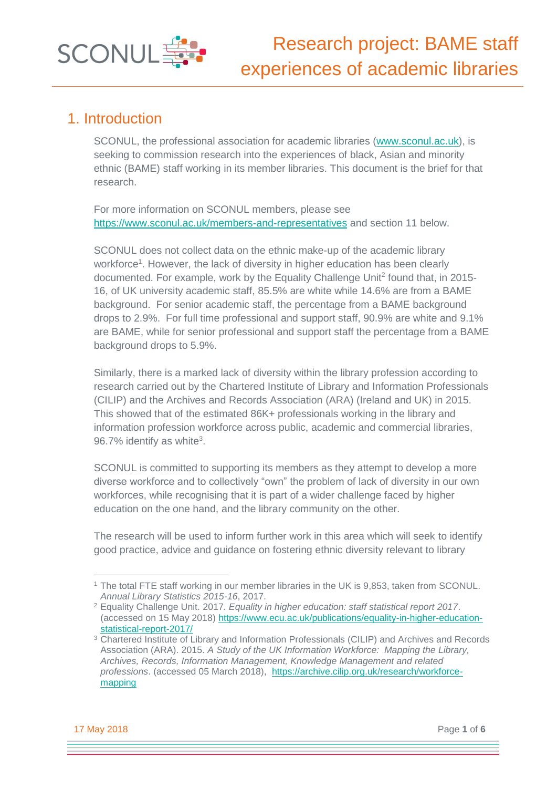

### 1. Introduction

SCONUL, the professional association for academic libraries [\(www.sconul.ac.uk\)](http://www.sconul.ac.uk/), is seeking to commission research into the experiences of black, Asian and minority ethnic (BAME) staff working in its member libraries. This document is the brief for that research.

For more information on SCONUL members, please see <https://www.sconul.ac.uk/members-and-representatives> and section 11 below.

SCONUL does not collect data on the ethnic make-up of the academic library workforce<sup>1</sup>. However, the lack of diversity in higher education has been clearly documented. For example, work by the Equality Challenge Unit<sup>2</sup> found that, in 2015-16, of UK university academic staff, 85.5% are white while 14.6% are from a BAME background. For senior academic staff, the percentage from a BAME background drops to 2.9%. For full time professional and support staff, 90.9% are white and 9.1% are BAME, while for senior professional and support staff the percentage from a BAME background drops to 5.9%.

Similarly, there is a marked lack of diversity within the library profession according to research carried out by the Chartered Institute of Library and Information Professionals (CILIP) and the Archives and Records Association (ARA) (Ireland and UK) in 2015. This showed that of the estimated 86K+ professionals working in the library and information profession workforce across public, academic and commercial libraries, 96.7% identify as white $3$ .

SCONUL is committed to supporting its members as they attempt to develop a more diverse workforce and to collectively "own" the problem of lack of diversity in our own workforces, while recognising that it is part of a wider challenge faced by higher education on the one hand, and the library community on the other.

The research will be used to inform further work in this area which will seek to identify good practice, advice and guidance on fostering ethnic diversity relevant to library

17 May 2018 Page **1** of **6**

<sup>1</sup> The total FTE staff working in our member libraries in the UK is 9,853, taken from SCONUL. *Annual Library Statistics 2015-16*, 2017.

<sup>2</sup> Equality Challenge Unit. 2017*. Equality in higher education: staff statistical report 2017*. (accessed on 15 May 2018) [https://www.ecu.ac.uk/publications/equality-in-higher-education](https://www.ecu.ac.uk/publications/equality-in-higher-education-statistical-report-2017/)[statistical-report-2017/](https://www.ecu.ac.uk/publications/equality-in-higher-education-statistical-report-2017/)

<sup>&</sup>lt;sup>3</sup> Chartered Institute of Library and Information Professionals (CILIP) and Archives and Records Association (ARA). 2015. *A Study of the UK Information Workforce: Mapping the Library, Archives, Records, Information Management, Knowledge Management and related professions*. (accessed 05 March 2018), [https://archive.cilip.org.uk/research/workforce](https://archive.cilip.org.uk/research/workforce-mapping)[mapping](https://archive.cilip.org.uk/research/workforce-mapping)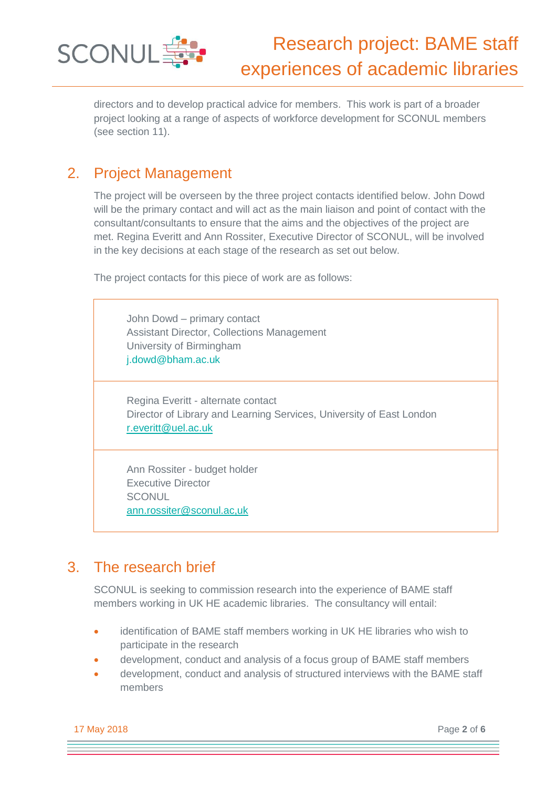

directors and to develop practical advice for members. This work is part of a broader project looking at a range of aspects of workforce development for SCONUL members (see section 11).

# 2. Project Management

The project will be overseen by the three project contacts identified below. John Dowd will be the primary contact and will act as the main liaison and point of contact with the consultant/consultants to ensure that the aims and the objectives of the project are met. Regina Everitt and Ann Rossiter, Executive Director of SCONUL, will be involved in the key decisions at each stage of the research as set out below.

The project contacts for this piece of work are as follows:

John Dowd – primary contact Assistant Director, Collections Management University of Birmingham j.dowd@bham.ac.uk

Regina Everitt - alternate contact Director of Library and Learning Services, University of East London [r.everitt@uel.ac.uk](mailto:r.everitt@uel.ac.uk)

Ann Rossiter - budget holder Executive Director **SCONUL** [ann.rossiter@sconul.ac,uk](mailto:ann.rossiter@sconul.ac,uk)

# 3. The research brief

SCONUL is seeking to commission research into the experience of BAME staff members working in UK HE academic libraries. The consultancy will entail:

- identification of BAME staff members working in UK HE libraries who wish to participate in the research
- development, conduct and analysis of a focus group of BAME staff members
- development, conduct and analysis of structured interviews with the BAME staff members

17 May 2018 Page **2** of **6**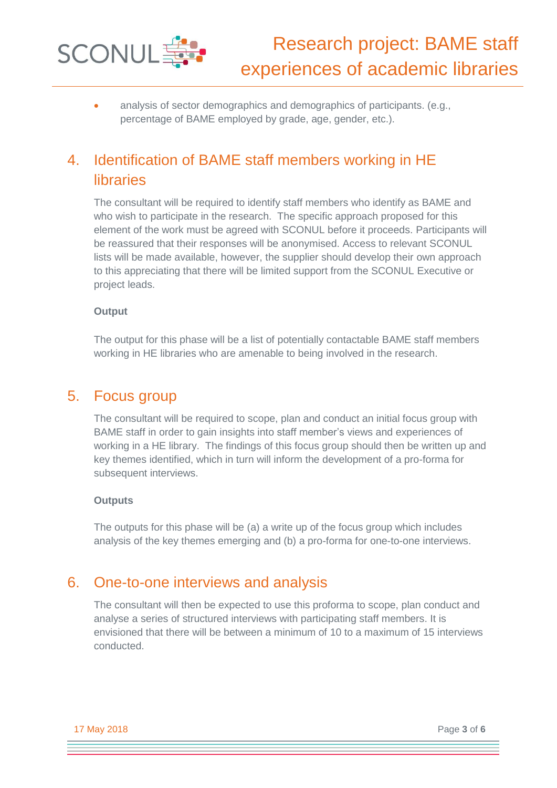

 analysis of sector demographics and demographics of participants. (e.g., percentage of BAME employed by grade, age, gender, etc.).

# 4. Identification of BAME staff members working in HE libraries

The consultant will be required to identify staff members who identify as BAME and who wish to participate in the research. The specific approach proposed for this element of the work must be agreed with SCONUL before it proceeds. Participants will be reassured that their responses will be anonymised. Access to relevant SCONUL lists will be made available, however, the supplier should develop their own approach to this appreciating that there will be limited support from the SCONUL Executive or project leads.

#### **Output**

The output for this phase will be a list of potentially contactable BAME staff members working in HE libraries who are amenable to being involved in the research.

### 5. Focus group

The consultant will be required to scope, plan and conduct an initial focus group with BAME staff in order to gain insights into staff member's views and experiences of working in a HE library. The findings of this focus group should then be written up and key themes identified, which in turn will inform the development of a pro-forma for subsequent interviews.

#### **Outputs**

The outputs for this phase will be (a) a write up of the focus group which includes analysis of the key themes emerging and (b) a pro-forma for one-to-one interviews.

### 6. One-to-one interviews and analysis

The consultant will then be expected to use this proforma to scope, plan conduct and analyse a series of structured interviews with participating staff members. It is envisioned that there will be between a minimum of 10 to a maximum of 15 interviews conducted.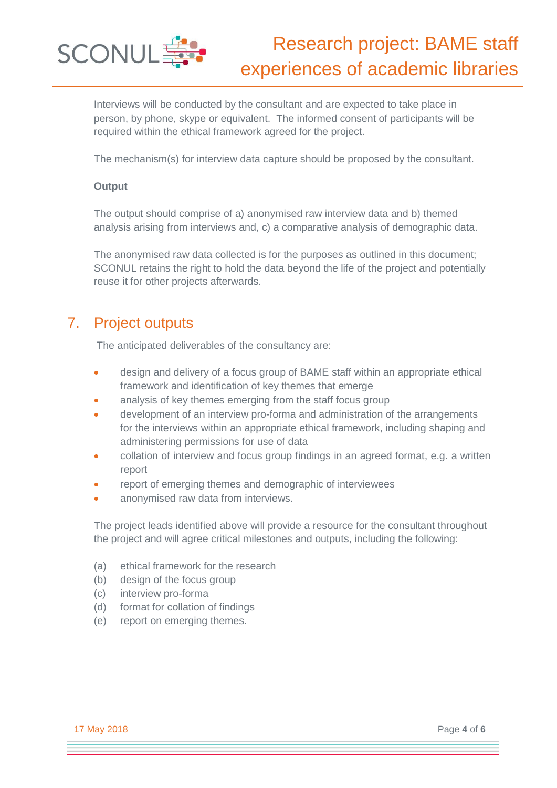

Interviews will be conducted by the consultant and are expected to take place in person, by phone, skype or equivalent. The informed consent of participants will be required within the ethical framework agreed for the project.

The mechanism(s) for interview data capture should be proposed by the consultant.

#### **Output**

The output should comprise of a) anonymised raw interview data and b) themed analysis arising from interviews and, c) a comparative analysis of demographic data.

The anonymised raw data collected is for the purposes as outlined in this document; SCONUL retains the right to hold the data beyond the life of the project and potentially reuse it for other projects afterwards.

# 7. Project outputs

The anticipated deliverables of the consultancy are:

- design and delivery of a focus group of BAME staff within an appropriate ethical framework and identification of key themes that emerge
- analysis of key themes emerging from the staff focus group
- development of an interview pro-forma and administration of the arrangements for the interviews within an appropriate ethical framework, including shaping and administering permissions for use of data
- collation of interview and focus group findings in an agreed format, e.g. a written report
- report of emerging themes and demographic of interviewees
- anonymised raw data from interviews.

The project leads identified above will provide a resource for the consultant throughout the project and will agree critical milestones and outputs, including the following:

- (a) ethical framework for the research
- (b) design of the focus group
- (c) interview pro-forma
- (d) format for collation of findings
- (e) report on emerging themes.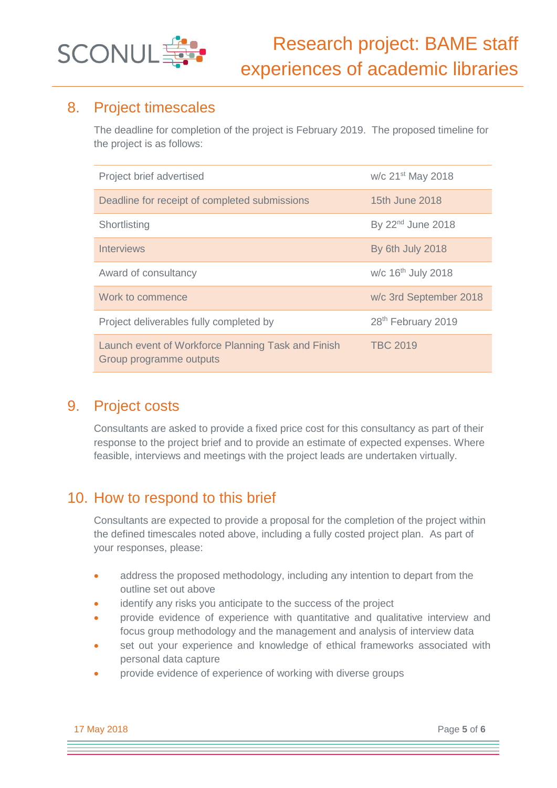

# 8. Project timescales

The deadline for completion of the project is February 2019. The proposed timeline for the project is as follows:

| Project brief advertised                                                      | w/c 21 <sup>st</sup> May 2018  |
|-------------------------------------------------------------------------------|--------------------------------|
| Deadline for receipt of completed submissions                                 | 15th June 2018                 |
| Shortlisting                                                                  | By 22 <sup>nd</sup> June 2018  |
| <b>Interviews</b>                                                             | By 6th July 2018               |
| Award of consultancy                                                          | w/c 16 <sup>th</sup> July 2018 |
| Work to commence                                                              | w/c 3rd September 2018         |
| Project deliverables fully completed by                                       | 28th February 2019             |
| Launch event of Workforce Planning Task and Finish<br>Group programme outputs | <b>TBC 2019</b>                |

# 9. Project costs

Consultants are asked to provide a fixed price cost for this consultancy as part of their response to the project brief and to provide an estimate of expected expenses. Where feasible, interviews and meetings with the project leads are undertaken virtually.

# 10. How to respond to this brief

Consultants are expected to provide a proposal for the completion of the project within the defined timescales noted above, including a fully costed project plan. As part of your responses, please:

- address the proposed methodology, including any intention to depart from the outline set out above
- identify any risks you anticipate to the success of the project
- provide evidence of experience with quantitative and qualitative interview and focus group methodology and the management and analysis of interview data
- set out your experience and knowledge of ethical frameworks associated with personal data capture
- provide evidence of experience of working with diverse groups